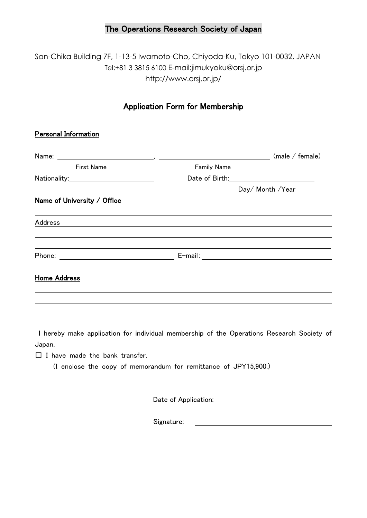## The Operations Research Society of Japan

San-Chika Building 7F, 1-13-5 Iwamoto-Cho, Chiyoda-Ku, Tokyo 101-0032, JAPAN Tel:+81 3 3815 6100 E-mail:jimukyoku@orsj.or.jp http://www.orsj.or.jp/

## Application Form for Membership

## Personal Information

| Name:                       |                    | (male / female)                                |  |
|-----------------------------|--------------------|------------------------------------------------|--|
| First Name                  | <b>Family Name</b> |                                                |  |
|                             | Date of Birth:     | <u> 1989 - Andrea State Barbara, politik e</u> |  |
|                             |                    | Day/ Month / Year                              |  |
| Name of University / Office |                    |                                                |  |
| Address                     |                    |                                                |  |
| Phone:                      |                    | E-mail: _____________________________          |  |
| <b>Home Address</b>         |                    |                                                |  |
|                             |                    |                                                |  |

I hereby make application for individual membership of the Operations Research Society of Japan.

 $\Box$  I have made the bank transfer.

(I enclose the copy of memorandum for remittance of JPY15,900.)

Date of Application:

Signature: